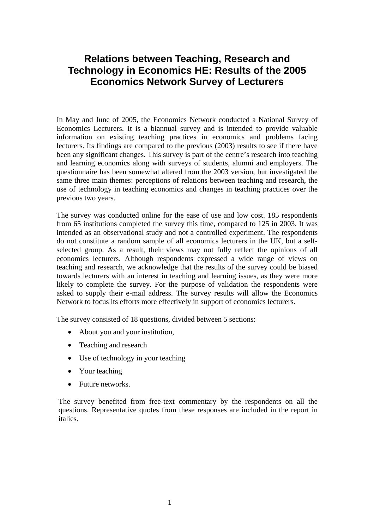# **Relations between Teaching, Research and Technology in Economics HE: Results of the 2005 Economics Network Survey of Lecturers**

In May and June of 2005, the Economics Network conducted a National Survey of Economics Lecturers. It is a biannual survey and is intended to provide valuable information on existing teaching practices in economics and problems facing lecturers. Its findings are compared to the previous (2003) results to see if there have been any significant changes. This survey is part of the centre's research into teaching and learning economics along with surveys of students, alumni and employers. The questionnaire has been somewhat altered from the 2003 version, but investigated the same three main themes: perceptions of relations between teaching and research, the use of technology in teaching economics and changes in teaching practices over the previous two years.

The survey was conducted online for the ease of use and low cost. 185 respondents from 65 institutions completed the survey this time, compared to 125 in 2003. It was intended as an observational study and not a controlled experiment. The respondents do not constitute a random sample of all economics lecturers in the UK, but a selfselected group. As a result, their views may not fully reflect the opinions of all economics lecturers. Although respondents expressed a wide range of views on teaching and research, we acknowledge that the results of the survey could be biased towards lecturers with an interest in teaching and learning issues, as they were more likely to complete the survey. For the purpose of validation the respondents were asked to supply their e-mail address. The survey results will allow the Economics Network to focus its efforts more effectively in support of economics lecturers.

The survey consisted of 18 questions, divided between 5 sections:

- About you and your institution,
- Teaching and research
- Use of technology in your teaching
- Your teaching
- Future networks.

The survey benefited from free-text commentary by the respondents on all the questions. Representative quotes from these responses are included in the report in italics.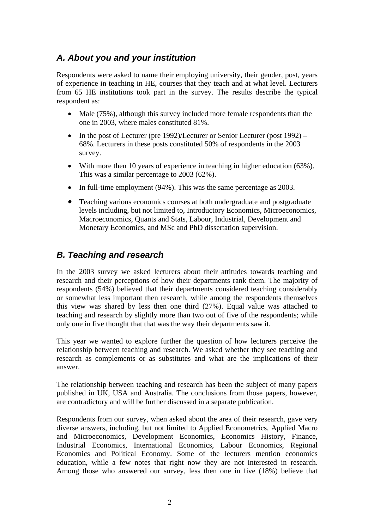### *A. About you and your institution*

Respondents were asked to name their employing university, their gender, post, years of experience in teaching in HE, courses that they teach and at what level. Lecturers from 65 HE institutions took part in the survey. The results describe the typical respondent as:

- Male (75%), although this survey included more female respondents than the one in 2003, where males constituted 81%.
- In the post of Lecturer (pre 1992)/Lecturer or Senior Lecturer (post 1992) 68%. Lecturers in these posts constituted 50% of respondents in the 2003 survey.
- With more then 10 years of experience in teaching in higher education (63%). This was a similar percentage to 2003 (62%).
- In full-time employment (94%). This was the same percentage as 2003.
- Teaching various economics courses at both undergraduate and postgraduate levels including, but not limited to, Introductory Economics, Microeconomics, Macroeconomics, Quants and Stats, Labour, Industrial, Development and Monetary Economics, and MSc and PhD dissertation supervision.

## *B. Teaching and research*

In the 2003 survey we asked lecturers about their attitudes towards teaching and research and their perceptions of how their departments rank them. The majority of respondents (54%) believed that their departments considered teaching considerably or somewhat less important then research, while among the respondents themselves this view was shared by less then one third (27%). Equal value was attached to teaching and research by slightly more than two out of five of the respondents; while only one in five thought that that was the way their departments saw it.

This year we wanted to explore further the question of how lecturers perceive the relationship between teaching and research. We asked whether they see teaching and research as complements or as substitutes and what are the implications of their answer.

The relationship between teaching and research has been the subject of many papers published in UK, USA and Australia. The conclusions from those papers, however, are contradictory and will be further discussed in a separate publication.

Respondents from our survey, when asked about the area of their research, gave very diverse answers, including, but not limited to Applied Econometrics, Applied Macro and Microeconomics, Development Economics, Economics History, Finance, Industrial Economics, International Economics, Labour Economics, Regional Economics and Political Economy. Some of the lecturers mention economics education, while a few notes that right now they are not interested in research. Among those who answered our survey, less then one in five (18%) believe that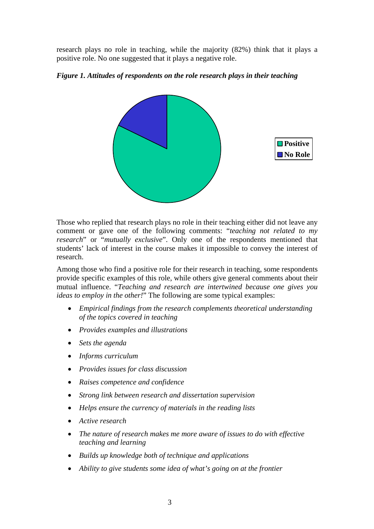research plays no role in teaching, while the majority (82%) think that it plays a positive role. No one suggested that it plays a negative role.

#### *Figure 1. Attitudes of respondents on the role research plays in their teaching*



Those who replied that research plays no role in their teaching either did not leave any comment or gave one of the following comments: "*teaching not related to my research*" or "*mutually exclusive*". Only one of the respondents mentioned that students' lack of interest in the course makes it impossible to convey the interest of research.

Among those who find a positive role for their research in teaching, some respondents provide specific examples of this role, while others give general comments about their mutual influence. "*Teaching and research are intertwined because one gives you ideas to employ in the other!*" The following are some typical examples:

- *Empirical findings from the research complements theoretical understanding of the topics covered in teaching*
- *Provides examples and illustrations*
- *Sets the agenda*
- *Informs curriculum*
- *Provides issues for class discussion*
- *Raises competence and confidence*
- *Strong link between research and dissertation supervision*
- *Helps ensure the currency of materials in the reading lists*
- *Active research*
- *The nature of research makes me more aware of issues to do with effective teaching and learning*
- *Builds up knowledge both of technique and applications*
- *Ability to give students some idea of what's going on at the frontier*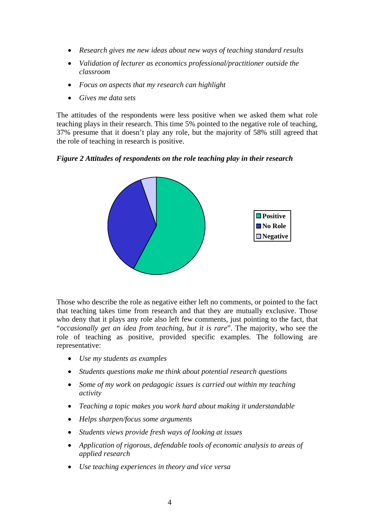- *Research gives me new ideas about new ways of teaching standard results*
- *Validation of lecturer as economics professional/practitioner outside the classroom*
- *Focus on aspects that my research can highlight*
- *Gives me data sets*

The attitudes of the respondents were less positive when we asked them what role teaching plays in their research. This time 5% pointed to the negative role of teaching, 37% presume that it doesn't play any role, but the majority of 58% still agreed that the role of teaching in research is positive.

*Figure 2 Attitudes of respondents on the role teaching play in their research*



Those who describe the role as negative either left no comments, or pointed to the fact that teaching takes time from research and that they are mutually exclusive. Those who deny that it plays any role also left few comments, just pointing to the fact, that "*occasionally get an idea from teaching, but it is rare*". The majority, who see the role of teaching as positive, provided specific examples. The following are representative:

- *Use my students as examples*
- *Students questions make me think about potential research questions*
- *Some of my work on pedagogic issues is carried out within my teaching activity*
- *Teaching a topic makes you work hard about making it understandable*
- *Helps sharpen/focus some arguments*
- *Students views provide fresh ways of looking at issues*
- *Application of rigorous, defendable tools of economic analysis to areas of applied research*
- *Use teaching experiences in theory and vice versa*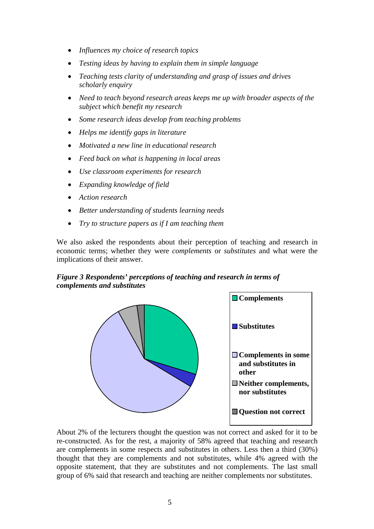- *Influences my choice of research topics*
- *Testing ideas by having to explain them in simple language*
- *Teaching tests clarity of understanding and grasp of issues and drives scholarly enquiry*
- *Need to teach beyond research areas keeps me up with broader aspects of the subject which benefit my research*
- *Some research ideas develop from teaching problems*
- *Helps me identify gaps in literature*
- *Motivated a new line in educational research*
- *Feed back on what is happening in local areas*
- *Use classroom experiments for research*
- *Expanding knowledge of field*
- *Action research*
- *Better understanding of students learning needs*
- *Try to structure papers as if I am teaching them*

We also asked the respondents about their perception of teaching and research in economic terms; whether they were *complements* or *substitutes* and what were the implications of their answer.

#### *Figure 3 Respondents' perceptions of teaching and research in terms of complements and substitutes*



About 2% of the lecturers thought the question was not correct and asked for it to be re-constructed. As for the rest, a majority of 58% agreed that teaching and research are complements in some respects and substitutes in others. Less then a third (30%) thought that they are complements and not substitutes, while 4% agreed with the opposite statement, that they are substitutes and not complements. The last small group of 6% said that research and teaching are neither complements nor substitutes.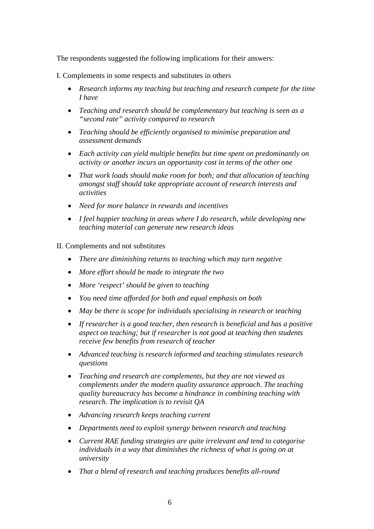The respondents suggested the following implications for their answers:

I. Complements in some respects and substitutes in others

- *Research informs my teaching but teaching and research compete for the time I have*
- *Teaching and research should be complementary but teaching is seen as a "second rate" activity compared to research*
- *Teaching should be efficiently organised to minimise preparation and assessment demands*
- *Each activity can yield multiple benefits but time spent on predominantly on activity or another incurs an opportunity cost in terms of the other one*
- *That work loads should make room for both; and that allocation of teaching amongst staff should take appropriate account of research interests and activities*
- *Need for more balance in rewards and incentives*
- *I feel happier teaching in areas where I do research, while developing new teaching material can generate new research ideas*

II. Complements and not substitutes

- *There are diminishing returns to teaching which may turn negative*
- *More effort should be made to integrate the two*
- *More 'respect' should be given to teaching*
- *You need time afforded for both and equal emphasis on both*
- *May be there is scope for individuals specialising in research or teaching*
- *If researcher is a good teacher, then research is beneficial and has a positive aspect on teaching; but if researcher is not good at teaching then students receive few benefits from research of teacher*
- *Advanced teaching is research informed and teaching stimulates research questions*
- *Teaching and research are complements, but they are not viewed as complements under the modern quality assurance approach. The teaching quality bureaucracy has become a hindrance in combining teaching with research. The implication is to revisit QA*
- *Advancing research keeps teaching current*
- *Departments need to exploit synergy between research and teaching*
- *Current RAE funding strategies are quite irrelevant and tend to categorise individuals in a way that diminishes the richness of what is going on at university*
- *That a blend of research and teaching produces benefits all-round*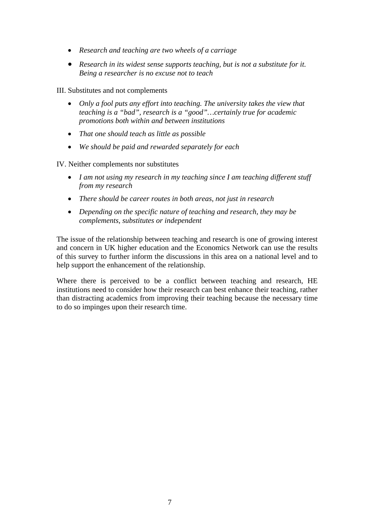- *Research and teaching are two wheels of a carriage*
- *Research in its widest sense supports teaching, but is not a substitute for it. Being a researcher is no excuse not to teach*

III. Substitutes and not complements

- *Only a fool puts any effort into teaching. The university takes the view that teaching is a "bad", research is a "good"…certainly true for academic promotions both within and between institutions*
- *That one should teach as little as possible*
- *We should be paid and rewarded separately for each*

IV. Neither complements nor substitutes

- *I am not using my research in my teaching since I am teaching different stuff from my research*
- *There should be career routes in both areas, not just in research*
- *Depending on the specific nature of teaching and research, they may be complements, substitutes or independent*

The issue of the relationship between teaching and research is one of growing interest and concern in UK higher education and the Economics Network can use the results of this survey to further inform the discussions in this area on a national level and to help support the enhancement of the relationship.

Where there is perceived to be a conflict between teaching and research, HE institutions need to consider how their research can best enhance their teaching, rather than distracting academics from improving their teaching because the necessary time to do so impinges upon their research time.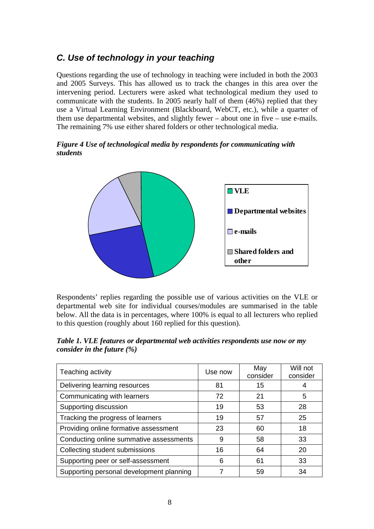## *C. Use of technology in your teaching*

Questions regarding the use of technology in teaching were included in both the 2003 and 2005 Surveys. This has allowed us to track the changes in this area over the intervening period. Lecturers were asked what technological medium they used to communicate with the students. In 2005 nearly half of them (46%) replied that they use a Virtual Learning Environment (Blackboard, WebCT, etc.), while a quarter of them use departmental websites, and slightly fewer – about one in five – use e-mails. The remaining 7% use either shared folders or other technological media.

#### *Figure 4 Use of technological media by respondents for communicating with students*



Respondents' replies regarding the possible use of various activities on the VLE or departmental web site for individual courses/modules are summarised in the table below. All the data is in percentages, where 100% is equal to all lecturers who replied to this question (roughly about 160 replied for this question).

*Table 1. VLE features or departmental web activities respondents use now or my consider in the future (%)* 

| Teaching activity                        | Use now | May<br>consider | Will not<br>consider |
|------------------------------------------|---------|-----------------|----------------------|
| Delivering learning resources            | 81      | 15              |                      |
| Communicating with learners              | 72      | 21              | 5                    |
| Supporting discussion                    | 19      | 53              | 28                   |
| Tracking the progress of learners        | 19      | 57              | 25                   |
| Providing online formative assessment    | 23      | 60              | 18                   |
| Conducting online summative assessments  | 9       | 58              | 33                   |
| Collecting student submissions           | 16      | 64              | 20                   |
| Supporting peer or self-assessment       | 6       | 61              | 33                   |
| Supporting personal development planning |         | 59              | 34                   |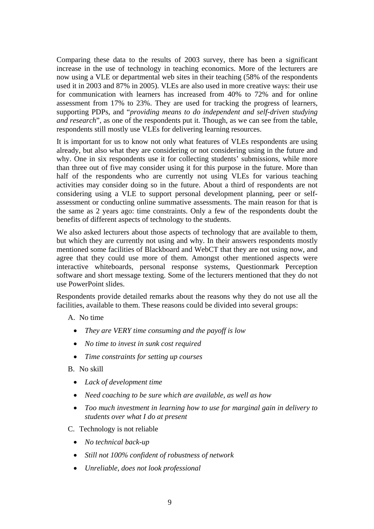Comparing these data to the results of 2003 survey, there has been a significant increase in the use of technology in teaching economics. More of the lecturers are now using a VLE or departmental web sites in their teaching (58% of the respondents used it in 2003 and 87% in 2005). VLEs are also used in more creative ways: their use for communication with learners has increased from 40% to 72% and for online assessment from 17% to 23%. They are used for tracking the progress of learners, supporting PDPs, and "*providing means to do independent and self-driven studying and research*", as one of the respondents put it. Though, as we can see from the table, respondents still mostly use VLEs for delivering learning resources.

It is important for us to know not only what features of VLEs respondents are using already, but also what they are considering or not considering using in the future and why. One in six respondents use it for collecting students' submissions, while more than three out of five may consider using it for this purpose in the future. More than half of the respondents who are currently not using VLEs for various teaching activities may consider doing so in the future. About a third of respondents are not considering using a VLE to support personal development planning, peer or selfassessment or conducting online summative assessments. The main reason for that is the same as 2 years ago: time constraints. Only a few of the respondents doubt the benefits of different aspects of technology to the students.

We also asked lecturers about those aspects of technology that are available to them, but which they are currently not using and why. In their answers respondents mostly mentioned some facilities of Blackboard and WebCT that they are not using now, and agree that they could use more of them. Amongst other mentioned aspects were interactive whiteboards, personal response systems, Questionmark Perception software and short message texting. Some of the lecturers mentioned that they do not use PowerPoint slides.

Respondents provide detailed remarks about the reasons why they do not use all the facilities, available to them. These reasons could be divided into several groups:

- A. No time
	- *They are VERY time consuming and the payoff is low*
	- *No time to invest in sunk cost required*
	- *Time constraints for setting up courses*
- B. No skill
	- *Lack of development time*
	- *Need coaching to be sure which are available, as well as how*
	- *Too much investment in learning how to use for marginal gain in delivery to students over what I do at present*
- C. Technology is not reliable
	- *No technical back-up*
	- *Still not 100% confident of robustness of network*
	- *Unreliable, does not look professional*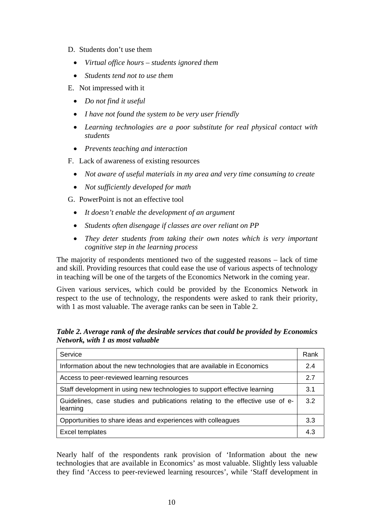- D. Students don't use them
	- *Virtual office hours students ignored them*
	- *Students tend not to use them*
- E. Not impressed with it
	- *Do not find it useful*
	- *I have not found the system to be very user friendly*
	- *Learning technologies are a poor substitute for real physical contact with students*
	- *Prevents teaching and interaction*
- F. Lack of awareness of existing resources
	- *Not aware of useful materials in my area and very time consuming to create*
	- *Not sufficiently developed for math*
- G. PowerPoint is not an effective tool
	- *It doesn't enable the development of an argument*
	- *Students often disengage if classes are over reliant on PP*
	- *They deter students from taking their own notes which is very important cognitive step in the learning process*

The majority of respondents mentioned two of the suggested reasons – lack of time and skill. Providing resources that could ease the use of various aspects of technology in teaching will be one of the targets of the Economics Network in the coming year.

Given various services, which could be provided by the Economics Network in respect to the use of technology, the respondents were asked to rank their priority, with 1 as most valuable. The average ranks can be seen in Table 2.

*Table 2. Average rank of the desirable services that could be provided by Economics Network, with 1 as most valuable*

| Service                                                                                   | Rank |
|-------------------------------------------------------------------------------------------|------|
| Information about the new technologies that are available in Economics                    |      |
| Access to peer-reviewed learning resources                                                |      |
| Staff development in using new technologies to support effective learning                 |      |
| Guidelines, case studies and publications relating to the effective use of e-<br>learning |      |
| Opportunities to share ideas and experiences with colleagues                              |      |
| Excel templates                                                                           | 4.3  |

Nearly half of the respondents rank provision of 'Information about the new technologies that are available in Economics' as most valuable. Slightly less valuable they find 'Access to peer-reviewed learning resources', while 'Staff development in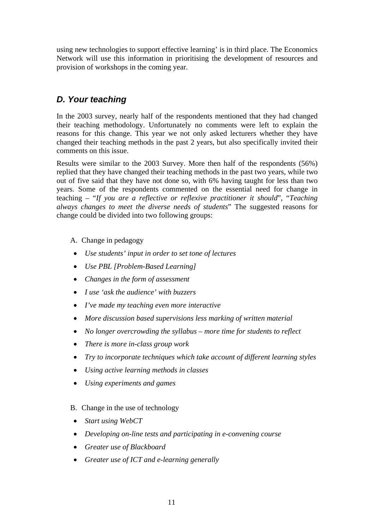using new technologies to support effective learning' is in third place. The Economics Network will use this information in prioritising the development of resources and provision of workshops in the coming year.

## *D. Your teaching*

In the 2003 survey, nearly half of the respondents mentioned that they had changed their teaching methodology. Unfortunately no comments were left to explain the reasons for this change. This year we not only asked lecturers whether they have changed their teaching methods in the past 2 years, but also specifically invited their comments on this issue.

Results were similar to the 2003 Survey. More then half of the respondents (56%) replied that they have changed their teaching methods in the past two years, while two out of five said that they have not done so, with 6% having taught for less than two years. Some of the respondents commented on the essential need for change in teaching – "*If you are a reflective or reflexive practitioner it should*", "*Teaching always changes to meet the diverse needs of students*" The suggested reasons for change could be divided into two following groups:

A. Change in pedagogy

- *Use students' input in order to set tone of lectures*
- *Use PBL [Problem-Based Learning]*
- *Changes in the form of assessment*
- *I use 'ask the audience' with buzzers*
- *I've made my teaching even more interactive*
- *More discussion based supervisions less marking of written material*
- *No longer overcrowding the syllabus more time for students to reflect*
- *There is more in-class group work*
- *Try to incorporate techniques which take account of different learning styles*
- *Using active learning methods in classes*
- *Using experiments and games*
- B. Change in the use of technology
- *Start using WebCT*
- *Developing on-line tests and participating in e-convening course*
- *Greater use of Blackboard*
- *Greater use of ICT and e-learning generally*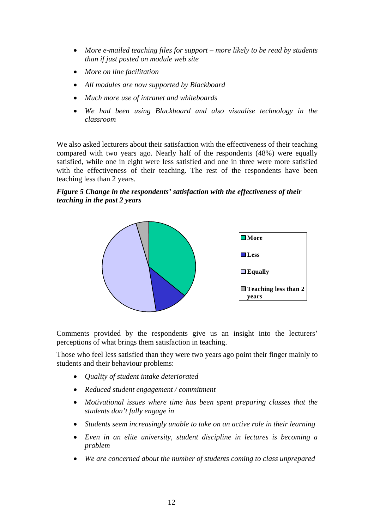- *More e-mailed teaching files for support more likely to be read by students than if just posted on module web site*
- *More on line facilitation*
- *All modules are now supported by Blackboard*
- *Much more use of intranet and whiteboards*
- *We had been using Blackboard and also visualise technology in the classroom*

We also asked lecturers about their satisfaction with the effectiveness of their teaching compared with two years ago. Nearly half of the respondents (48%) were equally satisfied, while one in eight were less satisfied and one in three were more satisfied with the effectiveness of their teaching. The rest of the respondents have been teaching less than 2 years.

#### *Figure 5 Change in the respondents' satisfaction with the effectiveness of their teaching in the past 2 years*



Comments provided by the respondents give us an insight into the lecturers' perceptions of what brings them satisfaction in teaching.

Those who feel less satisfied than they were two years ago point their finger mainly to students and their behaviour problems:

- *Quality of student intake deteriorated*
- *Reduced student engagement / commitment*
- *Motivational issues where time has been spent preparing classes that the students don't fully engage in*
- *Students seem increasingly unable to take on an active role in their learning*
- *Even in an elite university, student discipline in lectures is becoming a problem*
- *We are concerned about the number of students coming to class unprepared*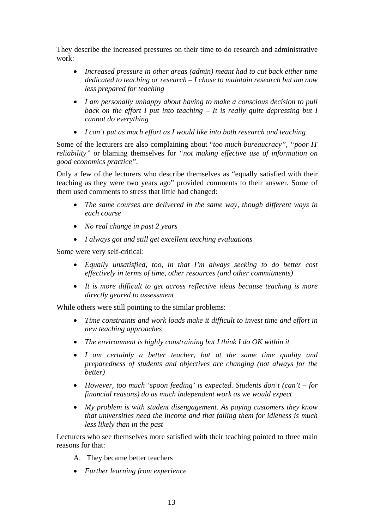They describe the increased pressures on their time to do research and administrative work:

- *Increased pressure in other areas (admin) meant had to cut back either time dedicated to teaching or research – I chose to maintain research but am now less prepared for teaching*
- *I am personally unhappy about having to make a conscious decision to pull back on the effort I put into teaching – It is really quite depressing but I cannot do everything*
- *I can't put as much effort as I would like into both research and teaching*

Some of the lecturers are also complaining about "*too much bureaucracy", "poor IT reliability"* or blaming themselves for *"not making effective use of information on good economics practice".* 

Only a few of the lecturers who describe themselves as "equally satisfied with their teaching as they were two years ago" provided comments to their answer. Some of them used comments to stress that little had changed:

- *The same courses are delivered in the same way, though different ways in each course*
- *No real change in past 2 years*
- *I always got and still get excellent teaching evaluations*

Some were very self-critical:

- *Equally unsatisfied, too, in that I'm always seeking to do better cost effectively in terms of time, other resources (and other commitments)*
- *It is more difficult to get across reflective ideas because teaching is more directly geared to assessment*

While others were still pointing to the similar problems:

- *Time constraints and work loads make it difficult to invest time and effort in new teaching approaches*
- *The environment is highly constraining but I think I do OK within it*
- *I am certainly a better teacher, but at the same time quality and preparedness of students and objectives are changing (not always for the better)*
- *However, too much 'spoon feeding' is expected. Students don't (can't for financial reasons) do as much independent work as we would expect*
- *My problem is with student disengagement. As paying customers they know that universities need the income and that failing them for idleness is much less likely than in the past*

Lecturers who see themselves more satisfied with their teaching pointed to three main reasons for that:

- A. They became better teachers
- *Further learning from experience*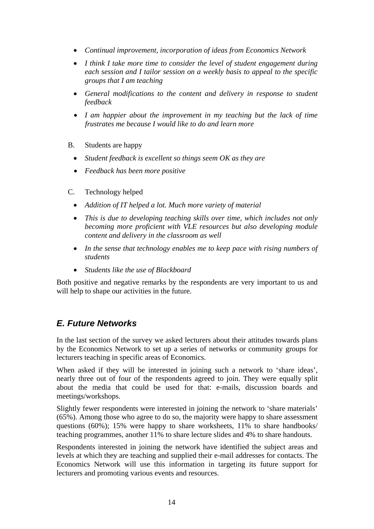- *Continual improvement, incorporation of ideas from Economics Network*
- *I think I take more time to consider the level of student engagement during each session and I tailor session on a weekly basis to appeal to the specific groups that I am teaching*
- *General modifications to the content and delivery in response to student feedback*
- *I am happier about the improvement in my teaching but the lack of time frustrates me because I would like to do and learn more*
- B. Students are happy
	- *Student feedback is excellent so things seem OK as they are*
	- *Feedback has been more positive*
- C. Technology helped
	- *Addition of IT helped a lot. Much more variety of material*
	- *This is due to developing teaching skills over time, which includes not only becoming more proficient with VLE resources but also developing module content and delivery in the classroom as well*
	- *In the sense that technology enables me to keep pace with rising numbers of students*
	- *Students like the use of Blackboard*

Both positive and negative remarks by the respondents are very important to us and will help to shape our activities in the future.

### *E. Future Networks*

In the last section of the survey we asked lecturers about their attitudes towards plans by the Economics Network to set up a series of networks or community groups for lecturers teaching in specific areas of Economics.

When asked if they will be interested in joining such a network to 'share ideas', nearly three out of four of the respondents agreed to join. They were equally split about the media that could be used for that: e-mails, discussion boards and meetings/workshops.

Slightly fewer respondents were interested in joining the network to 'share materials' (65%). Among those who agree to do so, the majority were happy to share assessment questions (60%); 15% were happy to share worksheets, 11% to share handbooks/ teaching programmes, another 11% to share lecture slides and 4% to share handouts.

Respondents interested in joining the network have identified the subject areas and levels at which they are teaching and supplied their e-mail addresses for contacts. The Economics Network will use this information in targeting its future support for lecturers and promoting various events and resources.